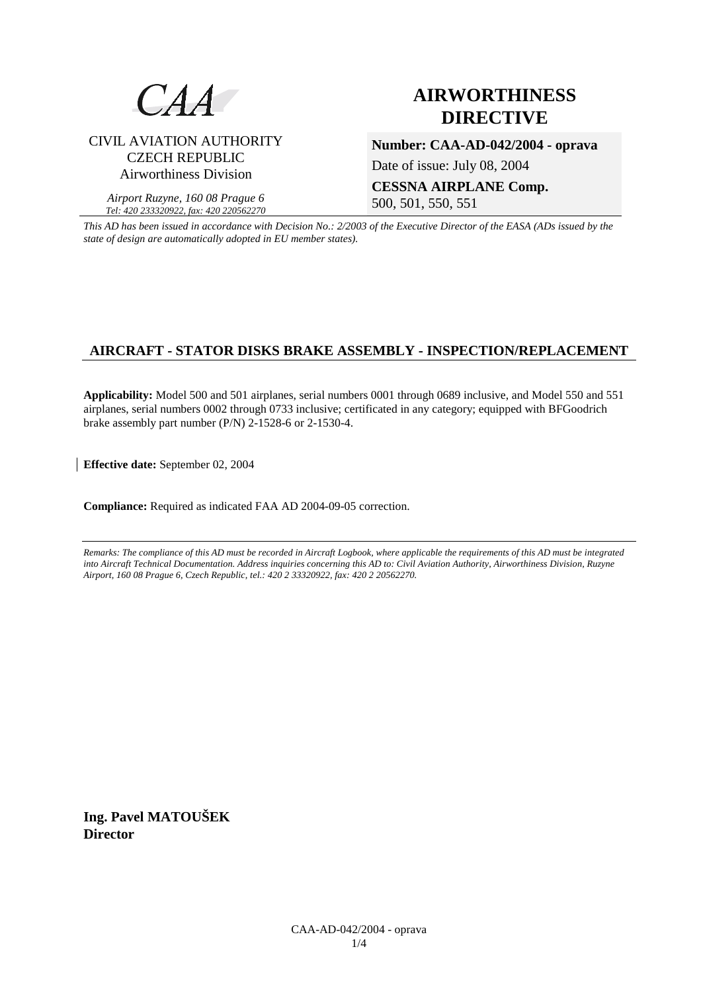

# CIVIL AVIATION AUTHORITY CZECH REPUBLIC Airworthiness Division

*Airport Ruzyne, 160 08 Prague 6 Tel: 420 233320922, fax: 420 220562270*

# **AIRWORTHINESS DIRECTIVE**

**Number: CAA-AD-042/2004 - oprava** 

Date of issue: July 08, 2004

**CESSNA AIRPLANE Comp.** 500, 501, 550, 551

*This AD has been issued in accordance with Decision No.: 2/2003 of the Executive Director of the EASA (ADs issued by the state of design are automatically adopted in EU member states).*

# **AIRCRAFT - STATOR DISKS BRAKE ASSEMBLY - INSPECTION/REPLACEMENT**

**Applicability:** Model 500 and 501 airplanes, serial numbers 0001 through 0689 inclusive, and Model 550 and 551 airplanes, serial numbers 0002 through 0733 inclusive; certificated in any category; equipped with BFGoodrich brake assembly part number (P/N) 2-1528-6 or 2-1530-4.

**Effective date:** September 02, 2004

**Compliance:** Required as indicated FAA AD 2004-09-05 correction.

*Remarks: The compliance of this AD must be recorded in Aircraft Logbook, where applicable the requirements of this AD must be integrated into Aircraft Technical Documentation. Address inquiries concerning this AD to: Civil Aviation Authority, Airworthiness Division, Ruzyne Airport, 160 08 Prague 6, Czech Republic, tel.: 420 2 33320922, fax: 420 2 20562270.* 

**Ing. Pavel MATOUŠEK Director**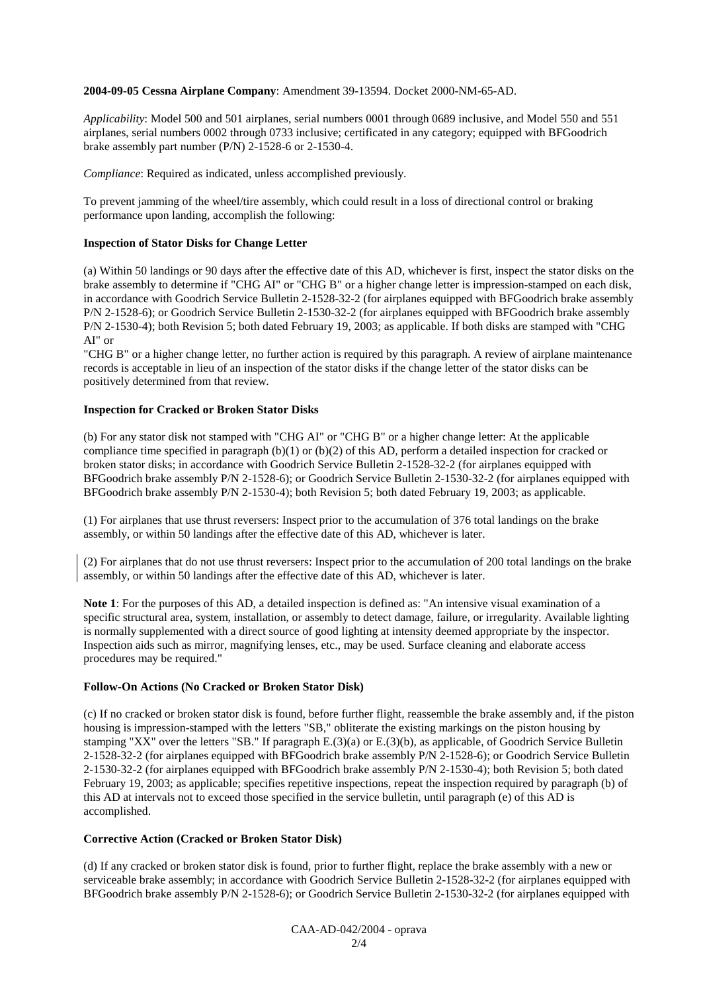#### **2004-09-05 Cessna Airplane Company**: Amendment 39-13594. Docket 2000-NM-65-AD.

*Applicability*: Model 500 and 501 airplanes, serial numbers 0001 through 0689 inclusive, and Model 550 and 551 airplanes, serial numbers 0002 through 0733 inclusive; certificated in any category; equipped with BFGoodrich brake assembly part number (P/N) 2-1528-6 or 2-1530-4.

*Compliance*: Required as indicated, unless accomplished previously.

To prevent jamming of the wheel/tire assembly, which could result in a loss of directional control or braking performance upon landing, accomplish the following:

#### **Inspection of Stator Disks for Change Letter**

(a) Within 50 landings or 90 days after the effective date of this AD, whichever is first, inspect the stator disks on the brake assembly to determine if "CHG AI" or "CHG B" or a higher change letter is impression-stamped on each disk, in accordance with Goodrich Service Bulletin 2-1528-32-2 (for airplanes equipped with BFGoodrich brake assembly P/N 2-1528-6); or Goodrich Service Bulletin 2-1530-32-2 (for airplanes equipped with BFGoodrich brake assembly P/N 2-1530-4); both Revision 5; both dated February 19, 2003; as applicable. If both disks are stamped with "CHG AI" or

"CHG B" or a higher change letter, no further action is required by this paragraph. A review of airplane maintenance records is acceptable in lieu of an inspection of the stator disks if the change letter of the stator disks can be positively determined from that review.

#### **Inspection for Cracked or Broken Stator Disks**

(b) For any stator disk not stamped with "CHG AI" or "CHG B" or a higher change letter: At the applicable compliance time specified in paragraph  $(b)(1)$  or  $(b)(2)$  of this AD, perform a detailed inspection for cracked or broken stator disks; in accordance with Goodrich Service Bulletin 2-1528-32-2 (for airplanes equipped with BFGoodrich brake assembly P/N 2-1528-6); or Goodrich Service Bulletin 2-1530-32-2 (for airplanes equipped with BFGoodrich brake assembly P/N 2-1530-4); both Revision 5; both dated February 19, 2003; as applicable.

(1) For airplanes that use thrust reversers: Inspect prior to the accumulation of 376 total landings on the brake assembly, or within 50 landings after the effective date of this AD, whichever is later.

(2) For airplanes that do not use thrust reversers: Inspect prior to the accumulation of 200 total landings on the brake assembly, or within 50 landings after the effective date of this AD, whichever is later.

**Note 1**: For the purposes of this AD, a detailed inspection is defined as: "An intensive visual examination of a specific structural area, system, installation, or assembly to detect damage, failure, or irregularity. Available lighting is normally supplemented with a direct source of good lighting at intensity deemed appropriate by the inspector. Inspection aids such as mirror, magnifying lenses, etc., may be used. Surface cleaning and elaborate access procedures may be required."

#### **Follow-On Actions (No Cracked or Broken Stator Disk)**

(c) If no cracked or broken stator disk is found, before further flight, reassemble the brake assembly and, if the piston housing is impression-stamped with the letters "SB," obliterate the existing markings on the piston housing by stamping "XX" over the letters "SB." If paragraph E.(3)(a) or E.(3)(b), as applicable, of Goodrich Service Bulletin 2-1528-32-2 (for airplanes equipped with BFGoodrich brake assembly P/N 2-1528-6); or Goodrich Service Bulletin 2-1530-32-2 (for airplanes equipped with BFGoodrich brake assembly P/N 2-1530-4); both Revision 5; both dated February 19, 2003; as applicable; specifies repetitive inspections, repeat the inspection required by paragraph (b) of this AD at intervals not to exceed those specified in the service bulletin, until paragraph (e) of this AD is accomplished.

## **Corrective Action (Cracked or Broken Stator Disk)**

(d) If any cracked or broken stator disk is found, prior to further flight, replace the brake assembly with a new or serviceable brake assembly; in accordance with Goodrich Service Bulletin 2-1528-32-2 (for airplanes equipped with BFGoodrich brake assembly P/N 2-1528-6); or Goodrich Service Bulletin 2-1530-32-2 (for airplanes equipped with

> CAA-AD-042/2004 - oprava 2/4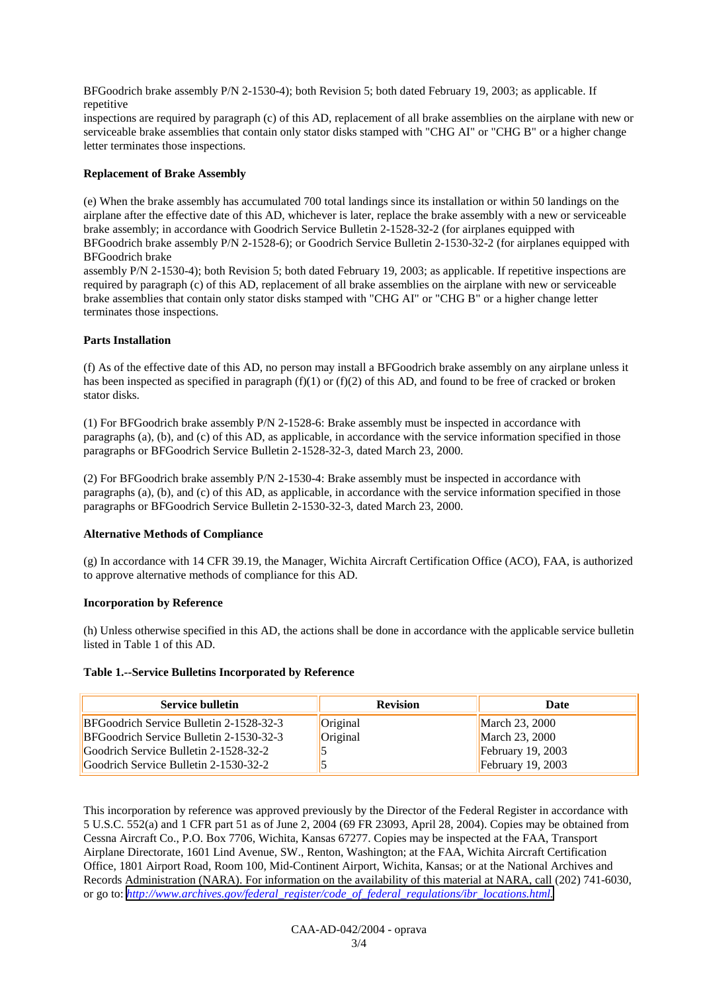BFGoodrich brake assembly P/N 2-1530-4); both Revision 5; both dated February 19, 2003; as applicable. If repetitive

inspections are required by paragraph (c) of this AD, replacement of all brake assemblies on the airplane with new or serviceable brake assemblies that contain only stator disks stamped with "CHG AI" or "CHG B" or a higher change letter terminates those inspections.

# **Replacement of Brake Assembly**

(e) When the brake assembly has accumulated 700 total landings since its installation or within 50 landings on the airplane after the effective date of this AD, whichever is later, replace the brake assembly with a new or serviceable brake assembly; in accordance with Goodrich Service Bulletin 2-1528-32-2 (for airplanes equipped with BFGoodrich brake assembly P/N 2-1528-6); or Goodrich Service Bulletin 2-1530-32-2 (for airplanes equipped with BFGoodrich brake

assembly P/N 2-1530-4); both Revision 5; both dated February 19, 2003; as applicable. If repetitive inspections are required by paragraph (c) of this AD, replacement of all brake assemblies on the airplane with new or serviceable brake assemblies that contain only stator disks stamped with "CHG AI" or "CHG B" or a higher change letter terminates those inspections.

# **Parts Installation**

(f) As of the effective date of this AD, no person may install a BFGoodrich brake assembly on any airplane unless it has been inspected as specified in paragraph  $(f)(1)$  or  $(f)(2)$  of this AD, and found to be free of cracked or broken stator disks.

(1) For BFGoodrich brake assembly P/N 2-1528-6: Brake assembly must be inspected in accordance with paragraphs (a), (b), and (c) of this AD, as applicable, in accordance with the service information specified in those paragraphs or BFGoodrich Service Bulletin 2-1528-32-3, dated March 23, 2000.

(2) For BFGoodrich brake assembly P/N 2-1530-4: Brake assembly must be inspected in accordance with paragraphs (a), (b), and (c) of this AD, as applicable, in accordance with the service information specified in those paragraphs or BFGoodrich Service Bulletin 2-1530-32-3, dated March 23, 2000.

## **Alternative Methods of Compliance**

(g) In accordance with 14 CFR 39.19, the Manager, Wichita Aircraft Certification Office (ACO), FAA, is authorized to approve alternative methods of compliance for this AD.

## **Incorporation by Reference**

(h) Unless otherwise specified in this AD, the actions shall be done in accordance with the applicable service bulletin listed in Table 1 of this AD.

## **Table 1.--Service Bulletins Incorporated by Reference**

| <b>Service bulletin</b>                 | <b>Revision</b> | Date                |
|-----------------------------------------|-----------------|---------------------|
| BFGoodrich Service Bulletin 2-1528-32-3 | Original        | March 23, 2000      |
| BFGoodrich Service Bulletin 2-1530-32-3 | Original        | March 23, 2000      |
| Goodrich Service Bulletin 2-1528-32-2   |                 | February $19, 2003$ |
| Goodrich Service Bulletin 2-1530-32-2   |                 | February $19, 2003$ |

This incorporation by reference was approved previously by the Director of the Federal Register in accordance with 5 U.S.C. 552(a) and 1 CFR part 51 as of June 2, 2004 (69 FR 23093, April 28, 2004). Copies may be obtained from Cessna Aircraft Co., P.O. Box 7706, Wichita, Kansas 67277. Copies may be inspected at the FAA, Transport Airplane Directorate, 1601 Lind Avenue, SW., Renton, Washington; at the FAA, Wichita Aircraft Certification Office, 1801 Airport Road, Room 100, Mid-Continent Airport, Wichita, Kansas; or at the National Archives and Records Administration (NARA). For information on the availability of this material at NARA, call (202) 741-6030, or go to: *[http://www.archives.gov/federal\\_register/code\\_of\\_federal\\_regulations/ibr\\_locations.html.](http://www.archives.gov/federal_register/code_of_federal_regulations/ibr_locations.html)*